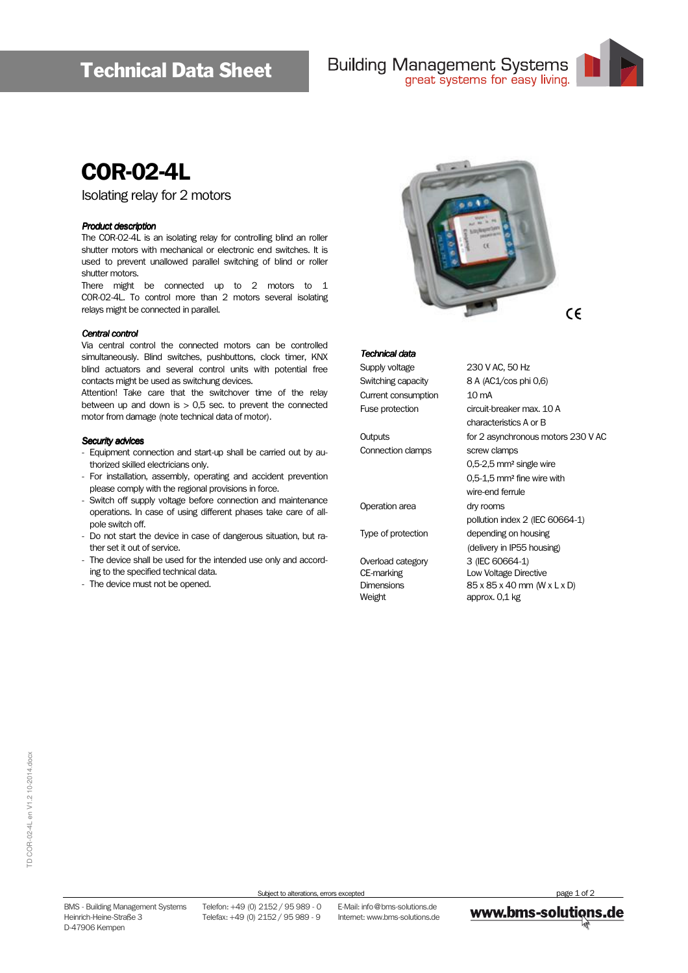

# COR-02-4L

Isolating relay for 2 motors

#### Product description

The COR-02-4L is an isolating relay for controlling blind an roller shutter motors with mechanical or electronic end switches. It is used to prevent unallowed parallel switching of blind or roller shutter motors.

There might be connected up to 2 motors to 1 C0R-02-4L. To control more than 2 motors several isolating relays might be connected in parallel.

#### Central control

Via central control the connected motors can be controlled simultaneously. Blind switches, pushbuttons, clock timer, KNX blind actuators and several control units with potential free contacts might be used as switchung devices.

Attention! Take care that the switchover time of the relay between up and down is  $> 0.5$  sec. to prevent the connected motor from damage (note technical data of motor).

#### Security advices

- Equipment connection and start-up shall be carried out by authorized skilled electricians only.
- For installation, assembly, operating and accident prevention please comply with the regional provisions in force.
- Switch off supply voltage before connection and maintenance operations. In case of using different phases take care of allpole switch off.
- Do not start the device in case of dangerous situation, but rather set it out of service.
- The device shall be used for the intended use only and according to the specified technical data.
- The device must not be opened.



#### **Technical data**

Supply voltage 230 V AC, 50 Hz Current consumption 10 mA

Connection clamps screw clamps

Operation area dry rooms

Weight approx. 0,1 kg

Switching capacity 8 A (AC1/cos phi 0,6) Fuse protection circuit-breaker max. 10 A characteristics A or B Outputs for 2 asynchronous motors 230 V AC 0,5-2,5 mm² single wire 0,5-1,5 mm² fine wire with wire-end ferrule pollution index 2 (IEC 60664-1) Type of protection depending on housing (delivery in IP55 housing) Overload category 3 (IEC 60664-1) CE-marking Low Voltage Directive Dimensions  $85 \times 85 \times 40$  mm (W  $\times$  L  $\times$  D)

TD COR-02-4L en V1.2 10-2014.docx TD COR-02-4L en V1.2 10-2014.docx